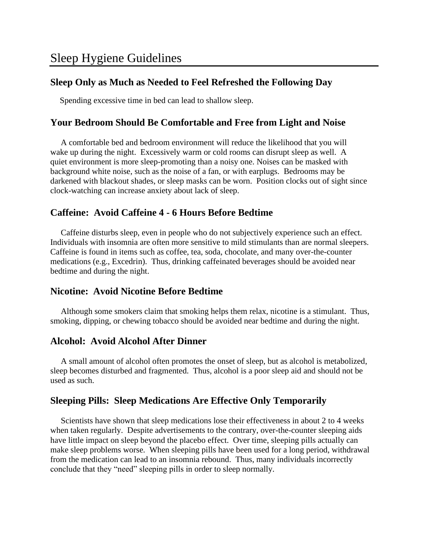# **Sleep Only as Much as Needed to Feel Refreshed the Following Day**

Spending excessive time in bed can lead to shallow sleep.

## **Your Bedroom Should Be Comfortable and Free from Light and Noise**

 A comfortable bed and bedroom environment will reduce the likelihood that you will wake up during the night. Excessively warm or cold rooms can disrupt sleep as well. A quiet environment is more sleep-promoting than a noisy one. Noises can be masked with background white noise, such as the noise of a fan, or with earplugs. Bedrooms may be darkened with blackout shades, or sleep masks can be worn. Position clocks out of sight since clock-watching can increase anxiety about lack of sleep.

## **Caffeine: Avoid Caffeine 4 - 6 Hours Before Bedtime**

 Caffeine disturbs sleep, even in people who do not subjectively experience such an effect. Individuals with insomnia are often more sensitive to mild stimulants than are normal sleepers. Caffeine is found in items such as coffee, tea, soda, chocolate, and many over-the-counter medications (e.g., Excedrin). Thus, drinking caffeinated beverages should be avoided near bedtime and during the night.

## **Nicotine: Avoid Nicotine Before Bedtime**

 Although some smokers claim that smoking helps them relax, nicotine is a stimulant. Thus, smoking, dipping, or chewing tobacco should be avoided near bedtime and during the night.

## **Alcohol: Avoid Alcohol After Dinner**

 A small amount of alcohol often promotes the onset of sleep, but as alcohol is metabolized, sleep becomes disturbed and fragmented. Thus, alcohol is a poor sleep aid and should not be used as such.

# **Sleeping Pills: Sleep Medications Are Effective Only Temporarily**

 Scientists have shown that sleep medications lose their effectiveness in about 2 to 4 weeks when taken regularly. Despite advertisements to the contrary, over-the-counter sleeping aids have little impact on sleep beyond the placebo effect. Over time, sleeping pills actually can make sleep problems worse. When sleeping pills have been used for a long period, withdrawal from the medication can lead to an insomnia rebound. Thus, many individuals incorrectly conclude that they "need" sleeping pills in order to sleep normally.